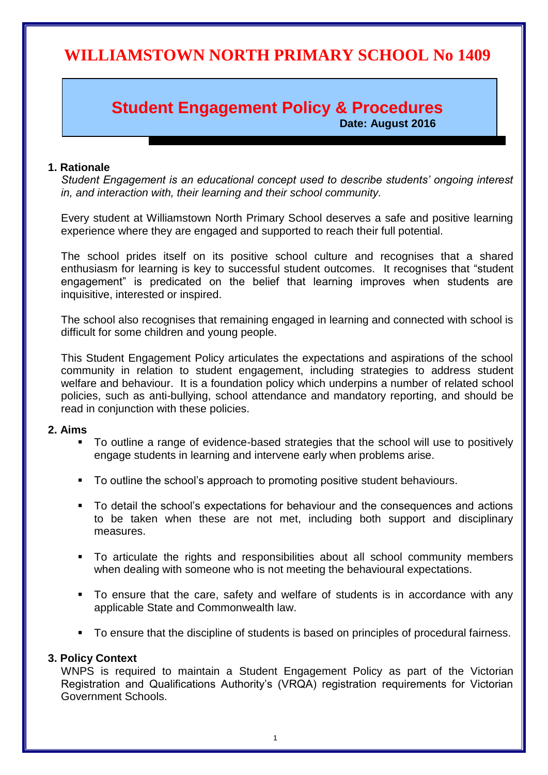# **WILLIAMSTOWN NORTH PRIMARY SCHOOL No 1409**

# **Student Engagement Policy & Procedures**

**Date: August 2016**

## **1. Rationale**

*Student Engagement is an educational concept used to describe students' ongoing interest in, and interaction with, their learning and their school community.*

Every student at Williamstown North Primary School deserves a safe and positive learning experience where they are engaged and supported to reach their full potential.

The school prides itself on its positive school culture and recognises that a shared enthusiasm for learning is key to successful student outcomes. It recognises that "student engagement" is predicated on the belief that learning improves when students are inquisitive, interested or inspired.

The school also recognises that remaining engaged in learning and connected with school is difficult for some children and young people.

This Student Engagement Policy articulates the expectations and aspirations of the school community in relation to student engagement, including strategies to address student welfare and behaviour. It is a foundation policy which underpins a number of related school policies, such as anti-bullying, school attendance and mandatory reporting, and should be read in conjunction with these policies.

#### **2. Aims**

- To outline a range of evidence-based strategies that the school will use to positively engage students in learning and intervene early when problems arise.
- To outline the school's approach to promoting positive student behaviours.
- To detail the school's expectations for behaviour and the consequences and actions to be taken when these are not met, including both support and disciplinary measures.
- To articulate the rights and responsibilities about all school community members when dealing with someone who is not meeting the behavioural expectations.
- To ensure that the care, safety and welfare of students is in accordance with any applicable State and Commonwealth law.
- To ensure that the discipline of students is based on principles of procedural fairness.

#### **3. Policy Context**

WNPS is required to maintain a Student Engagement Policy as part of the Victorian Registration and Qualifications Authority's (VRQA) registration requirements for Victorian Government Schools.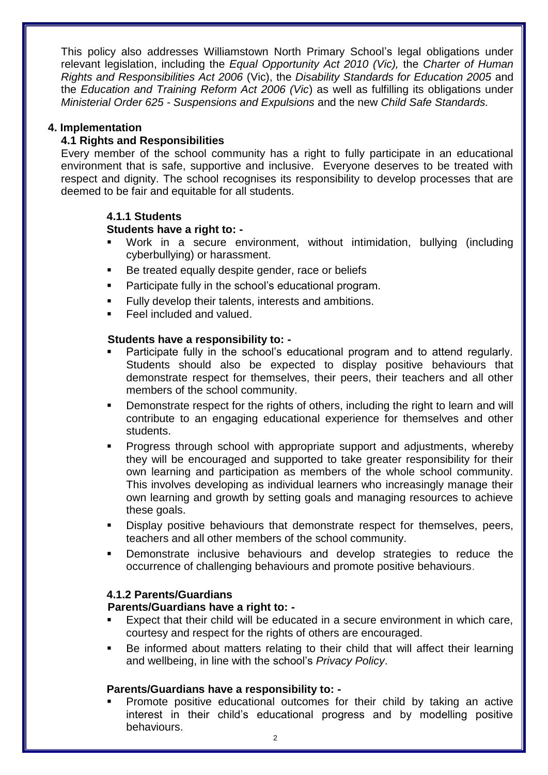This policy also addresses Williamstown North Primary School's legal obligations under relevant legislation, including the *Equal Opportunity Act 2010 (Vic),* the *Charter of Human Rights and Responsibilities Act 2006* (Vic), the *Disability Standards for Education 2005* and the *Education and Training Reform Act 2006 (Vic*) as well as fulfilling its obligations under *Ministerial Order 625 - Suspensions and Expulsions* and the new *Child Safe Standards.*

# **4. Implementation**

# **4.1 Rights and Responsibilities**

Every member of the school community has a right to fully participate in an educational environment that is safe, supportive and inclusive. Everyone deserves to be treated with respect and dignity. The school recognises its responsibility to develop processes that are deemed to be fair and equitable for all students.

## **4.1.1 Students**

## **Students have a right to: -**

- Work in a secure environment, without intimidation, bullying (including cyberbullying) or harassment.
- Be treated equally despite gender, race or beliefs
- Participate fully in the school's educational program.
- Fully develop their talents, interests and ambitions.
- Feel included and valued.

## **Students have a responsibility to: -**

- Participate fully in the school's educational program and to attend regularly. Students should also be expected to display positive behaviours that demonstrate respect for themselves, their peers, their teachers and all other members of the school community.
- Demonstrate respect for the rights of others, including the right to learn and will contribute to an engaging educational experience for themselves and other students.
- Progress through school with appropriate support and adjustments, whereby they will be encouraged and supported to take greater responsibility for their own learning and participation as members of the whole school community. This involves developing as individual learners who increasingly manage their own learning and growth by setting goals and managing resources to achieve these goals.
- Display positive behaviours that demonstrate respect for themselves, peers, teachers and all other members of the school community.
- Demonstrate inclusive behaviours and develop strategies to reduce the occurrence of challenging behaviours and promote positive behaviours.

## **4.1.2 Parents/Guardians**

## **Parents/Guardians have a right to: -**

- Expect that their child will be educated in a secure environment in which care, courtesy and respect for the rights of others are encouraged.
- Be informed about matters relating to their child that will affect their learning and wellbeing, in line with the school's *Privacy Policy*.

## **Parents/Guardians have a responsibility to: -**

 Promote positive educational outcomes for their child by taking an active interest in their child's educational progress and by modelling positive behaviours.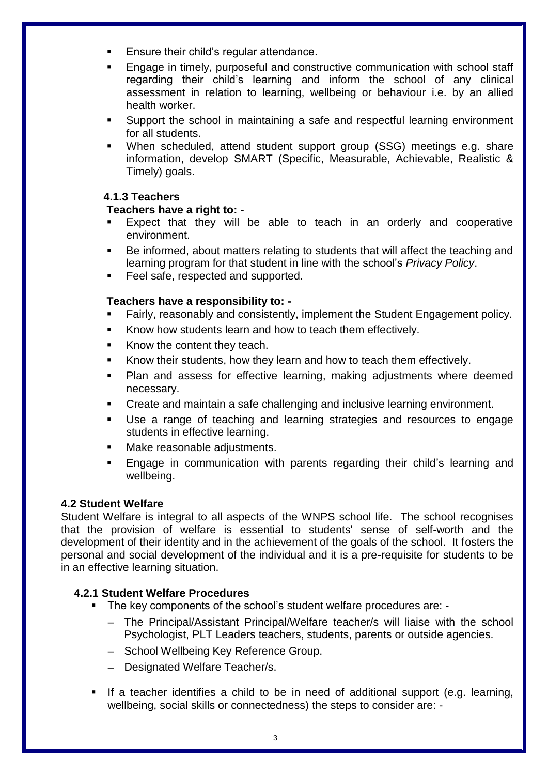- Ensure their child's regular attendance.
- Engage in timely, purposeful and constructive communication with school staff regarding their child's learning and inform the school of any clinical assessment in relation to learning, wellbeing or behaviour i.e. by an allied health worker.
- Support the school in maintaining a safe and respectful learning environment for all students.
- When scheduled, attend student support group (SSG) meetings e.g. share information, develop SMART (Specific, Measurable, Achievable, Realistic & Timely) goals.

# **4.1.3 Teachers**

# **Teachers have a right to: -**

- Expect that they will be able to teach in an orderly and cooperative environment.
- Be informed, about matters relating to students that will affect the teaching and learning program for that student in line with the school's *Privacy Policy*.
- Feel safe, respected and supported.

# **Teachers have a responsibility to: -**

- Fairly, reasonably and consistently, implement the Student Engagement policy.
- Know how students learn and how to teach them effectively.
- Know the content they teach.
- Know their students, how they learn and how to teach them effectively.
- Plan and assess for effective learning, making adjustments where deemed necessary.
- Create and maintain a safe challenging and inclusive learning environment.
- Use a range of teaching and learning strategies and resources to engage students in effective learning.
- Make reasonable adjustments.
- Engage in communication with parents regarding their child's learning and wellbeing.

## **4.2 Student Welfare**

Student Welfare is integral to all aspects of the WNPS school life. The school recognises that the provision of welfare is essential to students' sense of self-worth and the development of their identity and in the achievement of the goals of the school. It fosters the personal and social development of the individual and it is a pre-requisite for students to be in an effective learning situation.

## **4.2.1 Student Welfare Procedures**

- The key components of the school's student welfare procedures are: -
	- The Principal/Assistant Principal/Welfare teacher/s will liaise with the school Psychologist, PLT Leaders teachers, students, parents or outside agencies.
	- School Wellbeing Key Reference Group.
	- Designated Welfare Teacher/s.
- If a teacher identifies a child to be in need of additional support (e.g. learning, wellbeing, social skills or connectedness) the steps to consider are: -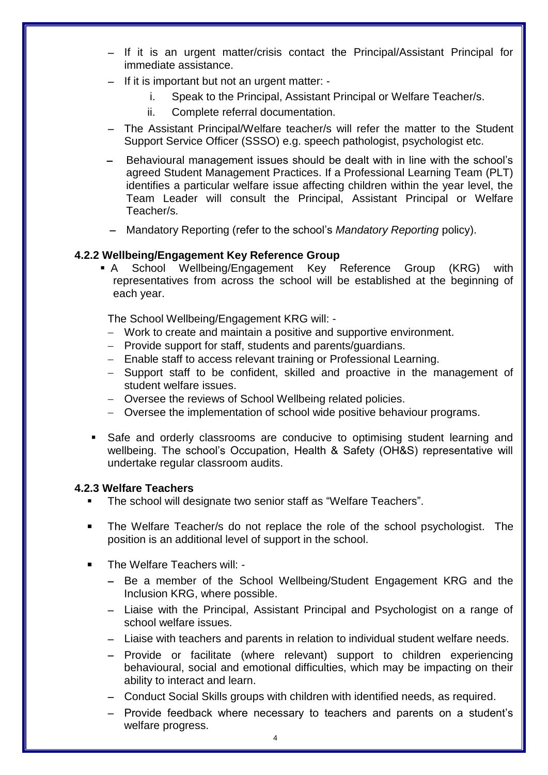- If it is an urgent matter/crisis contact the Principal/Assistant Principal for immediate assistance.
- If it is important but not an urgent matter:
	- i. Speak to the Principal, Assistant Principal or Welfare Teacher/s.
	- ii. Complete referral documentation.
- The Assistant Principal/Welfare teacher/s will refer the matter to the Student Support Service Officer (SSSO) e.g. speech pathologist, psychologist etc.
- Behavioural management issues should be dealt with in line with the school's agreed Student Management Practices. If a Professional Learning Team (PLT) identifies a particular welfare issue affecting children within the year level, the Team Leader will consult the Principal, Assistant Principal or Welfare Teacher/s.
- Mandatory Reporting (refer to the school's *Mandatory Reporting* policy).

#### **4.2.2 Wellbeing/Engagement Key Reference Group**

 A School Wellbeing/Engagement Key Reference Group (KRG) with representatives from across the school will be established at the beginning of each year.

The School Wellbeing/Engagement KRG will: -

- Work to create and maintain a positive and supportive environment.
- Provide support for staff, students and parents/guardians.
- Enable staff to access relevant training or Professional Learning.
- Support staff to be confident, skilled and proactive in the management of student welfare issues.
- Oversee the reviews of School Wellbeing related policies.
- Oversee the implementation of school wide positive behaviour programs.
- Safe and orderly classrooms are conducive to optimising student learning and wellbeing. The school's Occupation, Health & Safety (OH&S) representative will undertake regular classroom audits.

## **4.2.3 Welfare Teachers**

- The school will designate two senior staff as "Welfare Teachers".
- The Welfare Teacher/s do not replace the role of the school psychologist. The position is an additional level of support in the school.
- The Welfare Teachers will: -
	- Be a member of the School Wellbeing/Student Engagement KRG and the Inclusion KRG, where possible.
	- Liaise with the Principal, Assistant Principal and Psychologist on a range of school welfare issues.
	- Liaise with teachers and parents in relation to individual student welfare needs.
	- Provide or facilitate (where relevant) support to children experiencing behavioural, social and emotional difficulties, which may be impacting on their ability to interact and learn.
	- Conduct Social Skills groups with children with identified needs, as required.
	- Provide feedback where necessary to teachers and parents on a student's welfare progress.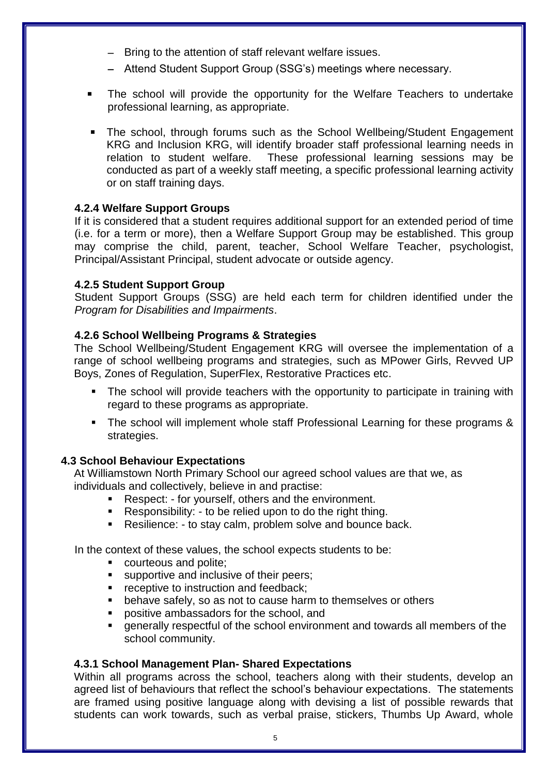- Bring to the attention of staff relevant welfare issues.
- Attend Student Support Group (SSG's) meetings where necessary.
- The school will provide the opportunity for the Welfare Teachers to undertake professional learning, as appropriate.
- The school, through forums such as the School Wellbeing/Student Engagement KRG and Inclusion KRG, will identify broader staff professional learning needs in relation to student welfare. These professional learning sessions may be conducted as part of a weekly staff meeting, a specific professional learning activity or on staff training days.

# **4.2.4 Welfare Support Groups**

If it is considered that a student requires additional support for an extended period of time (i.e. for a term or more), then a Welfare Support Group may be established. This group may comprise the child, parent, teacher, School Welfare Teacher, psychologist, Principal/Assistant Principal, student advocate or outside agency.

# **4.2.5 Student Support Group**

Student Support Groups (SSG) are held each term for children identified under the *Program for Disabilities and Impairments*.

# **4.2.6 School Wellbeing Programs & Strategies**

The School Wellbeing/Student Engagement KRG will oversee the implementation of a range of school wellbeing programs and strategies, such as MPower Girls, Revved UP Boys, Zones of Regulation, SuperFlex, Restorative Practices etc.

- The school will provide teachers with the opportunity to participate in training with regard to these programs as appropriate.
- The school will implement whole staff Professional Learning for these programs & strategies.

# **4.3 School Behaviour Expectations**

At Williamstown North Primary School our agreed school values are that we, as individuals and collectively, believe in and practise:

- **Respect: for yourself, others and the environment.**
- Responsibility: to be relied upon to do the right thing.
- Resilience: to stay calm, problem solve and bounce back.

In the context of these values, the school expects students to be:

- **COUTE COUTE 2018 COUTED**
- **supportive and inclusive of their peers;**
- **•** receptive to instruction and feedback;
- **EXT** behave safely, so as not to cause harm to themselves or others
- positive ambassadors for the school, and
- generally respectful of the school environment and towards all members of the school community.

## **4.3.1 School Management Plan- Shared Expectations**

Within all programs across the school, teachers along with their students, develop an agreed list of behaviours that reflect the school's behaviour expectations. The statements are framed using positive language along with devising a list of possible rewards that students can work towards, such as verbal praise, stickers, Thumbs Up Award, whole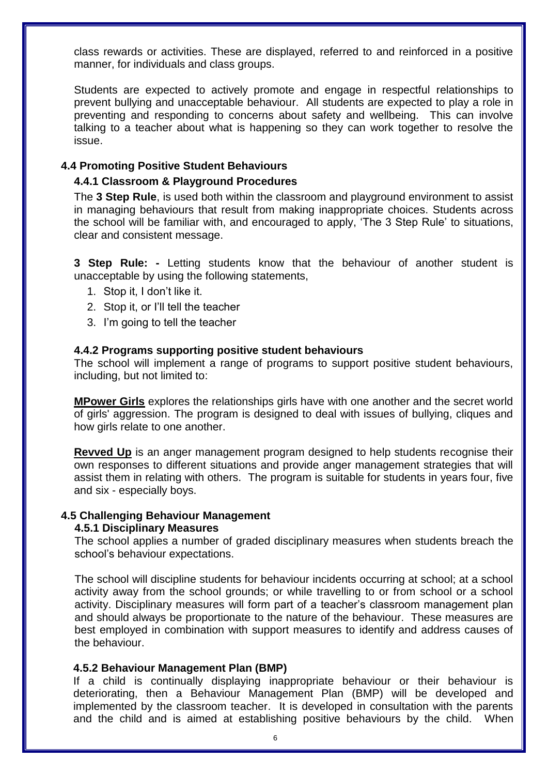class rewards or activities. These are displayed, referred to and reinforced in a positive manner, for individuals and class groups.

Students are expected to actively promote and engage in respectful relationships to prevent bullying and unacceptable behaviour. All students are expected to play a role in preventing and responding to concerns about safety and wellbeing. This can involve talking to a teacher about what is happening so they can work together to resolve the issue.

## **4.4 Promoting Positive Student Behaviours**

## **4.4.1 Classroom & Playground Procedures**

The **3 Step Rule**, is used both within the classroom and playground environment to assist in managing behaviours that result from making inappropriate choices. Students across the school will be familiar with, and encouraged to apply, 'The 3 Step Rule' to situations, clear and consistent message.

**3 Step Rule: -** Letting students know that the behaviour of another student is unacceptable by using the following statements,

- 1. Stop it, I don't like it.
- 2. Stop it, or I'll tell the teacher
- 3. I'm going to tell the teacher

#### **4.4.2 Programs supporting positive student behaviours**

The school will implement a range of programs to support positive student behaviours, including, but not limited to:

**MPower Girls** explores the relationships girls have with one another and the secret world of girls' aggression. The program is designed to deal with issues of bullying, cliques and how girls relate to one another.

**Revved Up** is an anger management program designed to help students recognise their own responses to different situations and provide anger management strategies that will assist them in relating with others. The program is suitable for students in years four, five and six - especially boys.

#### **4.5 Challenging Behaviour Management**

## **4.5.1 Disciplinary Measures**

The school applies a number of graded disciplinary measures when students breach the school's behaviour expectations.

The school will discipline students for behaviour incidents occurring at school; at a school activity away from the school grounds; or while travelling to or from school or a school activity. Disciplinary measures will form part of a teacher's classroom management plan and should always be proportionate to the nature of the behaviour. These measures are best employed in combination with support measures to identify and address causes of the behaviour.

#### **4.5.2 Behaviour Management Plan (BMP)**

If a child is continually displaying inappropriate behaviour or their behaviour is deteriorating, then a Behaviour Management Plan (BMP) will be developed and implemented by the classroom teacher. It is developed in consultation with the parents and the child and is aimed at establishing positive behaviours by the child. When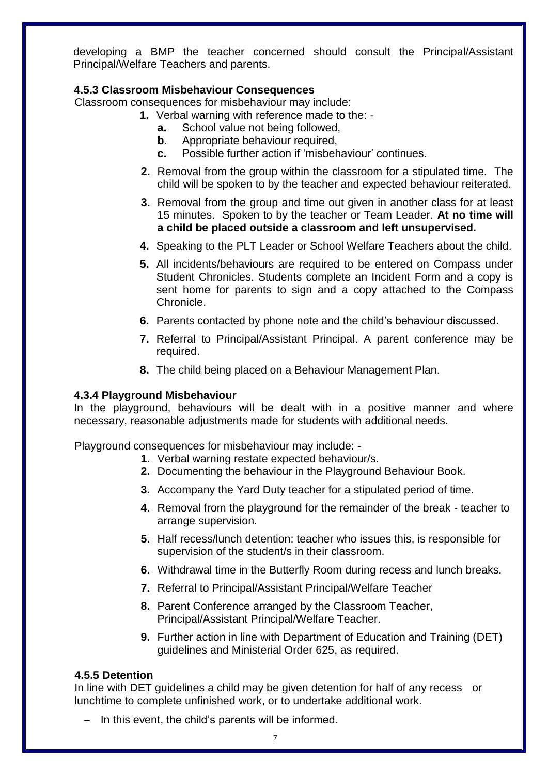developing a BMP the teacher concerned should consult the Principal/Assistant Principal/Welfare Teachers and parents.

# **4.5.3 Classroom Misbehaviour Consequences**

Classroom consequences for misbehaviour may include:

- **1.** Verbal warning with reference made to the:
	- **a.** School value not being followed,
	- **b.** Appropriate behaviour required,
	- **c.** Possible further action if 'misbehaviour' continues.
	- **2.** Removal from the group within the classroom for a stipulated time. The child will be spoken to by the teacher and expected behaviour reiterated.
	- **3.** Removal from the group and time out given in another class for at least 15 minutes. Spoken to by the teacher or Team Leader. **At no time will a child be placed outside a classroom and left unsupervised.**
- **4.** Speaking to the PLT Leader or School Welfare Teachers about the child.
- **5.** All incidents/behaviours are required to be entered on Compass under Student Chronicles. Students complete an Incident Form and a copy is sent home for parents to sign and a copy attached to the Compass Chronicle.
- **6.** Parents contacted by phone note and the child's behaviour discussed.
- **7.** Referral to Principal/Assistant Principal. A parent conference may be required.
- **8.** The child being placed on a Behaviour Management Plan.

## **4.3.4 Playground Misbehaviour**

In the playground, behaviours will be dealt with in a positive manner and where necessary, reasonable adjustments made for students with additional needs.

Playground consequences for misbehaviour may include: -

- **1.** Verbal warning restate expected behaviour/s.
- **2.** Documenting the behaviour in the Playground Behaviour Book.
- **3.** Accompany the Yard Duty teacher for a stipulated period of time.
- **4.** Removal from the playground for the remainder of the break teacher to arrange supervision.
- **5.** Half recess/lunch detention: teacher who issues this, is responsible for supervision of the student/s in their classroom.
- **6.** Withdrawal time in the Butterfly Room during recess and lunch breaks.
- **7.** Referral to Principal/Assistant Principal/Welfare Teacher
- **8.** Parent Conference arranged by the Classroom Teacher, Principal/Assistant Principal/Welfare Teacher.
- **9.** Further action in line with Department of Education and Training (DET) guidelines and Ministerial Order 625, as required.

## **4.5.5 Detention**

In line with DET guidelines a child may be given detention for half of any recess or lunchtime to complete unfinished work, or to undertake additional work.

 $-$  In this event, the child's parents will be informed.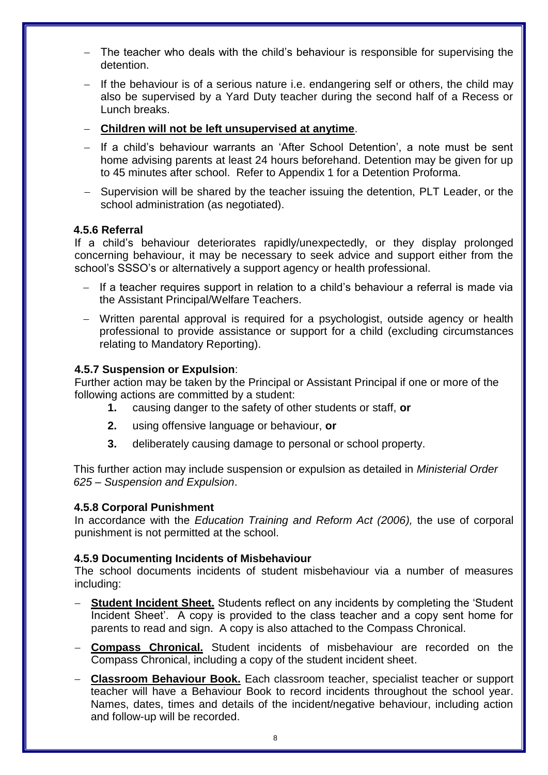- The teacher who deals with the child's behaviour is responsible for supervising the detention.
- If the behaviour is of a serious nature i.e. endangering self or others, the child may also be supervised by a Yard Duty teacher during the second half of a Recess or Lunch breaks.
- **Children will not be left unsupervised at anytime**.
- If a child's behaviour warrants an 'After School Detention', a note must be sent home advising parents at least 24 hours beforehand. Detention may be given for up to 45 minutes after school. Refer to Appendix 1 for a Detention Proforma.
- Supervision will be shared by the teacher issuing the detention, PLT Leader, or the school administration (as negotiated).

## **4.5.6 Referral**

If a child's behaviour deteriorates rapidly/unexpectedly, or they display prolonged concerning behaviour, it may be necessary to seek advice and support either from the school's SSSO's or alternatively a support agency or health professional.

- $-$  If a teacher requires support in relation to a child's behaviour a referral is made via the Assistant Principal/Welfare Teachers.
- Written parental approval is required for a psychologist, outside agency or health professional to provide assistance or support for a child (excluding circumstances relating to Mandatory Reporting).

## **4.5.7 Suspension or Expulsion**:

Further action may be taken by the Principal or Assistant Principal if one or more of the following actions are committed by a student:

- **1.** causing danger to the safety of other students or staff, **or**
- **2.** using offensive language or behaviour, **or**
- **3.** deliberately causing damage to personal or school property.

This further action may include suspension or expulsion as detailed in *Ministerial Order 625 – Suspension and Expulsion*.

## **4.5.8 Corporal Punishment**

In accordance with the *Education Training and Reform Act (2006),* the use of corporal punishment is not permitted at the school.

#### **4.5.9 Documenting Incidents of Misbehaviour**

The school documents incidents of student misbehaviour via a number of measures including:

- **Student Incident Sheet.** Students reflect on any incidents by completing the 'Student Incident Sheet'. A copy is provided to the class teacher and a copy sent home for parents to read and sign. A copy is also attached to the Compass Chronical.
- **Compass Chronical.** Student incidents of misbehaviour are recorded on the Compass Chronical, including a copy of the student incident sheet.
- **Classroom Behaviour Book.** Each classroom teacher, specialist teacher or support teacher will have a Behaviour Book to record incidents throughout the school year. Names, dates, times and details of the incident/negative behaviour, including action and follow-up will be recorded.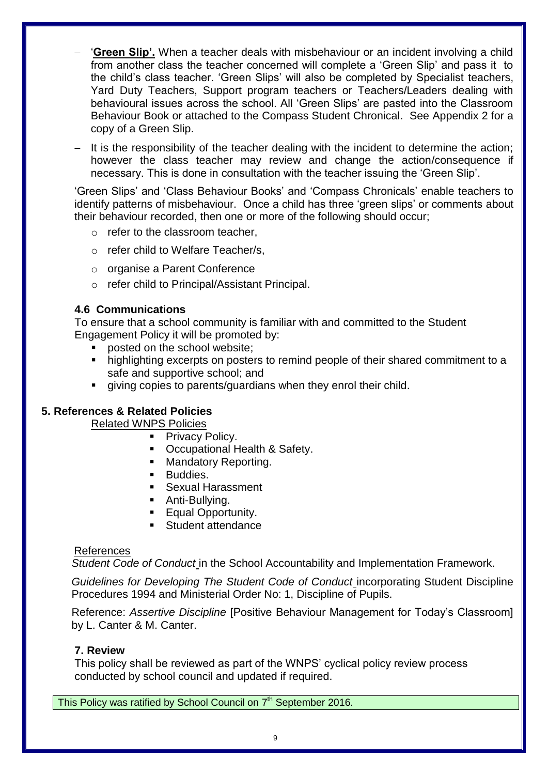- '**Green Slip'.** When a teacher deals with misbehaviour or an incident involving a child from another class the teacher concerned will complete a 'Green Slip' and pass it to the child's class teacher. 'Green Slips' will also be completed by Specialist teachers, Yard Duty Teachers, Support program teachers or Teachers/Leaders dealing with behavioural issues across the school. All 'Green Slips' are pasted into the Classroom Behaviour Book or attached to the Compass Student Chronical. See Appendix 2 for a copy of a Green Slip.
- $-$  It is the responsibility of the teacher dealing with the incident to determine the action; however the class teacher may review and change the action/consequence if necessary. This is done in consultation with the teacher issuing the 'Green Slip'.

'Green Slips' and 'Class Behaviour Books' and 'Compass Chronicals' enable teachers to identify patterns of misbehaviour. Once a child has three 'green slips' or comments about their behaviour recorded, then one or more of the following should occur;

- $\circ$  refer to the classroom teacher.
- o refer child to Welfare Teacher/s,
- o organise a Parent Conference
- o refer child to Principal/Assistant Principal.

## **4.6 Communications**

To ensure that a school community is familiar with and committed to the Student Engagement Policy it will be promoted by:

- posted on the school website;
- highlighting excerpts on posters to remind people of their shared commitment to a safe and supportive school; and
- giving copies to parents/guardians when they enrol their child.

## **5. References & Related Policies**

Related WNPS Policies

- Privacy Policy.
	- Occupational Health & Safety.
	- Mandatory Reporting.
	- **Buddies.**
	- Sexual Harassment
	- **Anti-Bullying.**
- **Equal Opportunity.**
- **Student attendance**

#### References

*Student Code of Conduct* in the School Accountability and Implementation Framework.

*Guidelines for Developing The Student Code of Conduct* incorporating Student Discipline Procedures 1994 and Ministerial Order No: 1, Discipline of Pupils.

Reference: *Assertive Discipline* [Positive Behaviour Management for Today's Classroom] by L. Canter & M. Canter.

#### **7. Review**

This policy shall be reviewed as part of the WNPS' cyclical policy review process conducted by school council and updated if required.

This Policy was ratified by School Council on 7<sup>th</sup> September 2016.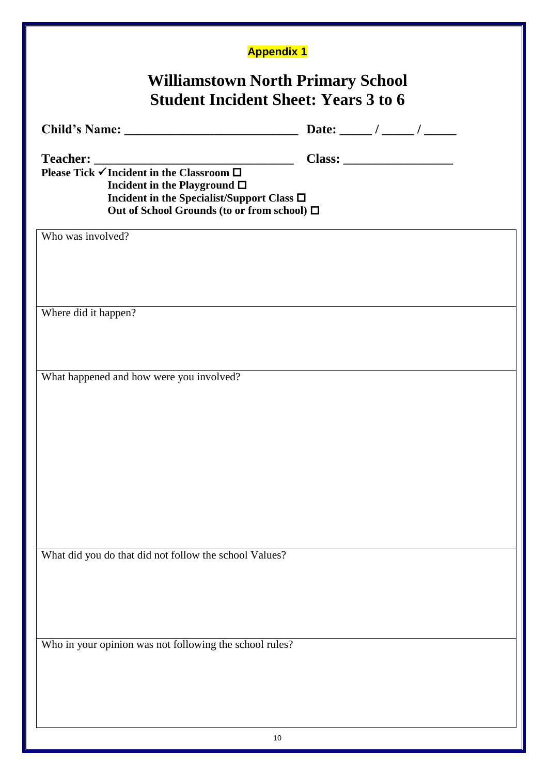| <b>Williamstown North Primary School</b><br><b>Student Incident Sheet: Years 3 to 6</b><br>Teacher: $\frac{1}{\sqrt{1}}$ Please Tick $\sqrt{1}$ Incident in the Classroom $\Box$<br>Incident in the Playground $\Box$<br>Incident in the Specialist/Support Class □<br>Out of School Grounds (to or from school) □<br>Who was involved? |  |
|-----------------------------------------------------------------------------------------------------------------------------------------------------------------------------------------------------------------------------------------------------------------------------------------------------------------------------------------|--|
|                                                                                                                                                                                                                                                                                                                                         |  |
|                                                                                                                                                                                                                                                                                                                                         |  |
|                                                                                                                                                                                                                                                                                                                                         |  |
|                                                                                                                                                                                                                                                                                                                                         |  |
|                                                                                                                                                                                                                                                                                                                                         |  |
|                                                                                                                                                                                                                                                                                                                                         |  |
|                                                                                                                                                                                                                                                                                                                                         |  |
|                                                                                                                                                                                                                                                                                                                                         |  |
| Where did it happen?                                                                                                                                                                                                                                                                                                                    |  |
|                                                                                                                                                                                                                                                                                                                                         |  |
| What happened and how were you involved?                                                                                                                                                                                                                                                                                                |  |
|                                                                                                                                                                                                                                                                                                                                         |  |
|                                                                                                                                                                                                                                                                                                                                         |  |
|                                                                                                                                                                                                                                                                                                                                         |  |
|                                                                                                                                                                                                                                                                                                                                         |  |
|                                                                                                                                                                                                                                                                                                                                         |  |
|                                                                                                                                                                                                                                                                                                                                         |  |
| What did you do that did not follow the school Values?                                                                                                                                                                                                                                                                                  |  |
|                                                                                                                                                                                                                                                                                                                                         |  |
|                                                                                                                                                                                                                                                                                                                                         |  |
|                                                                                                                                                                                                                                                                                                                                         |  |
| Who in your opinion was not following the school rules?                                                                                                                                                                                                                                                                                 |  |
|                                                                                                                                                                                                                                                                                                                                         |  |
|                                                                                                                                                                                                                                                                                                                                         |  |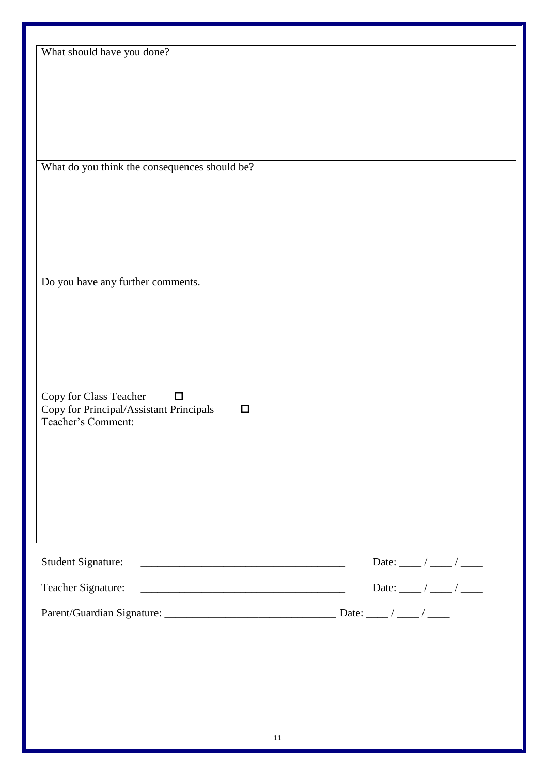| What should have you done?<br>What do you think the consequences should be?<br>Do you have any further comments.<br>Copy for Class Teacher<br>$\Box$<br>Copy for Principal/Assistant Principals<br>$\Box$<br>Teacher's Comment:<br>Student Signature:<br>Teacher Signature:<br><u> 2008 - Andrea Andrew Maria (h. 1878).</u> |                                        |
|------------------------------------------------------------------------------------------------------------------------------------------------------------------------------------------------------------------------------------------------------------------------------------------------------------------------------|----------------------------------------|
|                                                                                                                                                                                                                                                                                                                              |                                        |
|                                                                                                                                                                                                                                                                                                                              |                                        |
|                                                                                                                                                                                                                                                                                                                              |                                        |
|                                                                                                                                                                                                                                                                                                                              |                                        |
|                                                                                                                                                                                                                                                                                                                              |                                        |
|                                                                                                                                                                                                                                                                                                                              |                                        |
|                                                                                                                                                                                                                                                                                                                              |                                        |
|                                                                                                                                                                                                                                                                                                                              |                                        |
|                                                                                                                                                                                                                                                                                                                              |                                        |
|                                                                                                                                                                                                                                                                                                                              |                                        |
|                                                                                                                                                                                                                                                                                                                              |                                        |
|                                                                                                                                                                                                                                                                                                                              |                                        |
|                                                                                                                                                                                                                                                                                                                              |                                        |
|                                                                                                                                                                                                                                                                                                                              |                                        |
|                                                                                                                                                                                                                                                                                                                              |                                        |
|                                                                                                                                                                                                                                                                                                                              |                                        |
|                                                                                                                                                                                                                                                                                                                              |                                        |
|                                                                                                                                                                                                                                                                                                                              | Date: ____ / ____ / ____               |
|                                                                                                                                                                                                                                                                                                                              | Date: $\frac{1}{\sqrt{1-\frac{1}{2}}}$ |
|                                                                                                                                                                                                                                                                                                                              |                                        |
|                                                                                                                                                                                                                                                                                                                              |                                        |
|                                                                                                                                                                                                                                                                                                                              |                                        |
|                                                                                                                                                                                                                                                                                                                              |                                        |
|                                                                                                                                                                                                                                                                                                                              |                                        |
|                                                                                                                                                                                                                                                                                                                              |                                        |